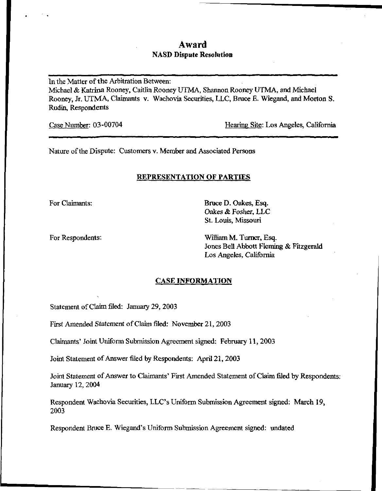# Award NASD Dispute Resolution

In the Matter of the Arbitration Between: Michael & Katrina Rooney, Caitlin Rooney UTMA, Shannon Rooney UTMA, and Michael Rooney, Jr. UTMA, Claimants v. Wachovia Securities, LLC, Bruce E. Wiegand, and Morton S. Rudin, Respondents

Case Number: 03-00704 Hearing Site: Los Angeles, California

Nature of the Dispute: Customers v. Member and Associated Persons

## REPRESENTATION OF PARTIES

For Claimants: Bruce D. Oakes, Esq. Oakes & Fosher, LLC St. Louis, Missouri

For Respondents: William M. Turner, Esq. Jones Bell Abbott Fleming & Fitzgerald Los Angeles, California

## CASE INFORMATION

Statement of Claim filed: January 29, 2003

First Amended Statement of Claim filed: November 21, 2003

Claimants' Joint Uniform Submission Agreement signed: February 11, 2003

Joint Statement of Answer filed by Respondents: April 21,2003

Joint Statement of Answer to Claimants' First Amended Statement of Claim filed by Respondents: January 12, 2004

Respondent Wachovia Securities, LLC's Uniform Submission Agreement signed: March 19, 2003

Respondent Bruce E. Wiegand's Uniform Submission Agreement signed: undated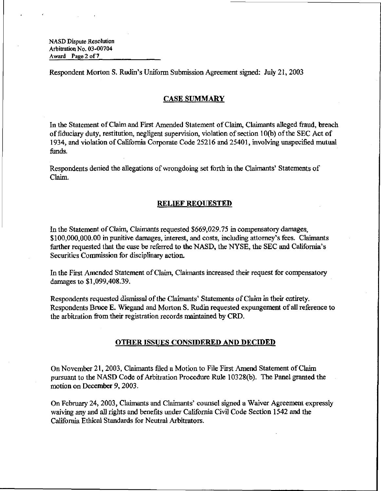NASD Dispute Resolution Arbitration No. 03-00704 Award Page 2 of 7

Respondent Morton S. Rudin's Uniform Submission Agreement signed: July 21, 2003

### CASE SUMMARY

In the Statement of Claim and First Amended Statement of Claim, Claimants alleged fraud, breach of fiduciary duty, restitution, negligent supervision, violation of section 10(b) of the SEC Act of 1934, and violation of California Corporate Code 25216 and 25401, involving unspecified mutual funds.

Respondents denied the allegations of wrongdoing set forth in the Claimants' Statements of Claim.

### RELIEF REQUESTED

In the Statement of Claim, Claimants requested \$669,029.75 in compensatory damages, \$100,000,000.00 in punitive damages, interest, and costs, including attorney's fees. Claimants further requested that the case be referred to the NASD, the NYSE, the SEC and California's Securities Commission for disciplinary action.

In the First Amended Statement of Claim, Claimants increased their request for compensatory damages to \$1,099,408.39.

Respondents requested dismissal of the Claimants' Statements of Claim in their entirety. Respondents Bruce E. Wiegand and Morton S. Rudin requested expungement of all reference to the arbitration from their registration records maintained by CRD.

### OTHER ISSUES CONSIDERED AND DECIDED

On November 21, 2003, Claimants filed a Motion to File First Amend Statement of Claim pursuant to the NASD Code of Arbitration Procedure Rule 10328(b). The Panel granted the motion on December 9, 2003.

On February 24, 2003, Claimants and Claimants\* counsel signed a Waiver Agreement expressly waiving any and all rights and benefits under California Civil Code Section 1542 and the California Ethical Standards for Neutral Arbitrators.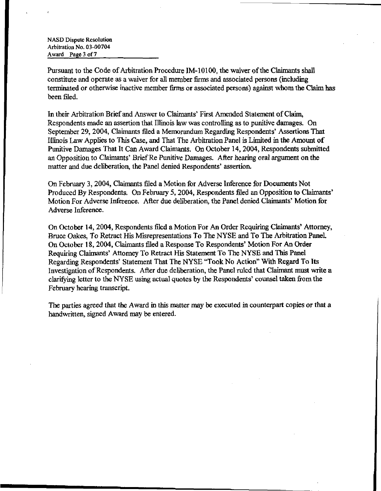NASD Dispute Resolution Arbitration No. 03-00704 Award Page 3 of 7

Pursuant to the Code of Arbitration Procedure IM-10100, the waiver of the Claimants shall constitute and operate as a waiver for all member firms and associated persons (including terminated or otherwise inactive member firms or associated persons) against whom the Claim has been filed.

In their Arbitration Brief and Answer to Claimants' First Amended Statement of Claim, Respondents made an assertion that Illinois law was controlling as to punitive damages. On September 29, 2004, Claimants filed a Memorandum Regarding Respondents' Assertions That Illinois Law Applies to This Case, and That The Arbitration Panel is Limited in the Amount of Punitive Damages That It Can Award Claimants. On October 14,2004, Respondents submitted an Opposition to Claimants' Brief Re Punitive Damages. After hearing oral argument on the matter and due deliberation, the Panel denied Respondents' assertion.

On February 3, 2004, Claimants filed a Motion for Adverse Inference for Documents Not Produced By Respondents, On February 5, 2004, Respondents filed an Opposition to Claimants' Motion For Adverse Inference. After due deliberation, the Panel denied Claimants' Motion for Adverse Inference.

On October 14, 2004, Respondents filed a Motion For An Order Requiring Claimants\* Attorney, Bruce Oakes, To Retract His Misrepresentations To The NYSE and To The Arbitration Panel. On October 18, 2004, Claimants filed a Response To Respondents' Motion For An Order Requiring Claimants' Attorney To Retract His Statement To The NYSE and This Panel Regarding Respondents' Statement That The NYSE "Took No Action" With Regard To Its Investigation of Respondents. After due deliberation, the Panel ruled that Claimant must write a clarifying letter to the NYSE using actual quotes by the Respondents' counsel taken from the February hearing transcript.

The parties agreed that the Award in this matter may be executed in counterpart copies or that a handwritten, signed Award may be entered.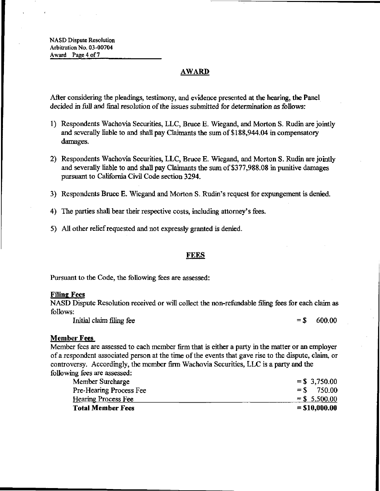## AWARD

After considering the pleadings, testimony, and evidence presented at the hearing, the Panel decided in full and final resolution of the issues submitted for determination as follows:

- 1) Respondents Wachovia Securities, LLC, Bruce E. Wiegand, and Morton S. Rudin are jointly and severally liable to and shall pay Claimants the sum of \$188,944.04 in compensatory damages.
- 2) Respondents Wachovia Securities, LLC, Bruce E. Wiegand, and Morton S. Rudin are jointly and severally liable to and shall pay Claimants the sum of \$377,988.08 in punitive damages pursuant to California Civil Code section 3294.
- 3) Respondents Bruce E. Wiegand and Morton S. Rudin's request for expungement is denied.
- 4) The parties shall bear their respective costs, including attorney's fees.
- 5) All other relief requested and not expressly granted is denied.

### FEES

Pursuant to the Code, the following fees are assessed:

#### Filing Fees

NASD Dispute Resolution received or will collect the non-refundable filing fees for each claim as follows:

Initial claim filing fee  $= $ 600.00$ 

## Member Fees

Member fees are assessed to each member firm that is either a party in the matter or an employer of a respondent associated person at the time of the events that gave rise to the dispute, claim, or controversy. Accordingly, the member firm Wachovia Securities, LLC is a party and the following fees are assessed:

| <b>Total Member Fees</b>       | $= $10,000.00$  |
|--------------------------------|-----------------|
| <b>Hearing Process Fee</b>     | $=$ \$ 5,500.00 |
| <b>Pre-Hearing Process Fee</b> | $=$ \$ 750.00   |
| Member Surcharge               | $=$ \$ 3,750.00 |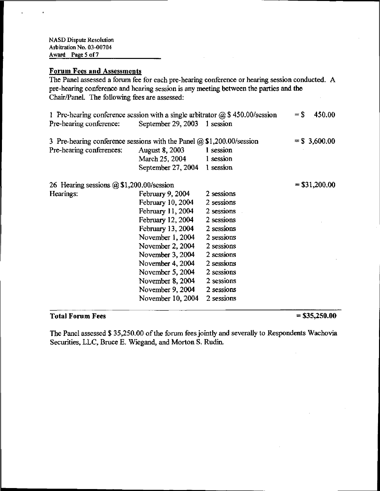# Forum Fees and Assessments

The Panel assessed a forum fee for each pre-hearing conference or hearing session conducted. A pre-hearing conference and hearing session is any meeting between the parties and the Chair/Panel. The following fees are assessed:

| 1 Pre-hearing conference session with a single arbitrator $\omega$ \$450.00/session |                              |            | $=$ \$<br>450.00 |
|-------------------------------------------------------------------------------------|------------------------------|------------|------------------|
| Pre-hearing conference:                                                             | September 29, 2003 1 session |            |                  |
| 3 Pre-hearing conference sessions with the Panel $\omega$ \$1,200.00/session        |                              |            | $=$ \$ 3,600.00  |
| Pre-hearing conferences:                                                            | <b>August 8, 2003</b>        | 1 session  |                  |
|                                                                                     | March $25, 2004$ 1 session   |            |                  |
|                                                                                     | September 27, 2004           | 1 session  |                  |
| 26 Hearing sessions $@$1,200.00/session$                                            |                              |            | $=$ \$31,200.00  |
| Hearings:                                                                           | February 9, 2004             | 2 sessions |                  |
|                                                                                     | February 10, 2004            | 2 sessions |                  |
|                                                                                     | February 11, 2004            | 2 sessions |                  |
|                                                                                     | February 12, 2004            | 2 sessions |                  |
|                                                                                     | February 13, 2004            | 2 sessions |                  |
|                                                                                     | November 1, 2004             | 2 sessions |                  |
|                                                                                     | November 2, 2004             | 2 sessions |                  |
|                                                                                     | November 3, 2004             | 2 sessions |                  |
|                                                                                     | November 4, 2004             | 2 sessions |                  |
|                                                                                     | November 5, 2004             | 2 sessions |                  |
|                                                                                     | November 8, 2004             | 2 sessions |                  |
|                                                                                     | November 9, 2004             | 2 sessions |                  |
|                                                                                     | November 10, 2004            | 2 sessions |                  |

# $Total$  Forum Fees  $= $35,250.00$

The Panel assessed \$ 35,250.00 of the forum fees jointly and severally to Respondents Wachovia Securities, LLC, Bruce E. Wiegand, and Morton S. Rudin.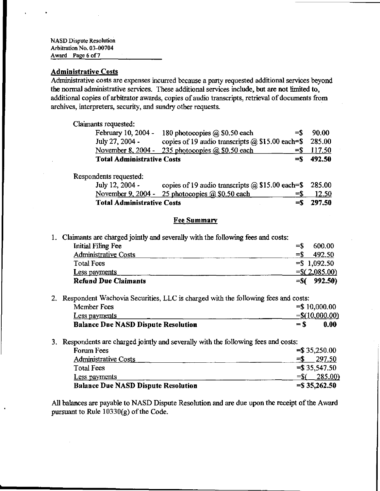NASD Dispute Resolution Arbitration No. 03-00704 Award Page 6 of 7

## Administrative Costs

Administrative costs are expenses incurred because a party requested additional services beyond the normal administrative services. These additional services include, but are not limited to, additional copies of arbitrator awards, copies of audio transcripts, retrieval of documents from archives, interpreters, security, and sundry other requests.

Claimants requested:

|                                   | February 10, 2004 - 180 photocopies $\omega$ \$0.50 each       | $=$ \$ 90.00  |
|-----------------------------------|----------------------------------------------------------------|---------------|
| July 27, 2004 -                   | copies of 19 audio transcripts $\omega$ \$15.00 each=\$ 285.00 |               |
|                                   | November 8, 2004 - 235 photocopies $(a)$ \$0.50 each           | $=$ \$ 117.50 |
| <b>Total Administrative Costs</b> |                                                                | $=$ 492.50    |

Respondents requested:

| July 12, 2004 -                   | copies of 19 audio transcripts $\omega$ \$15.00 each=\$ 285.00 |              |
|-----------------------------------|----------------------------------------------------------------|--------------|
|                                   | November 9, 2004 - 25 photocopies $@$ \$0.50 each              | $=$ \$ 12.50 |
| <b>Total Administrative Costs</b> |                                                                | $=$ S 297.50 |

### Fee Summary

1. Claimants are charged jointly and severally with the following fees and costs:

| <b>Refund Due Claimants</b> | $=$ \$( 992.50)  |
|-----------------------------|------------------|
| <b>Less payments</b>        | $=$ \$(2,085.00) |
| <b>Total Fees</b>           | $=$ \$1,092.50   |
| <b>Administrative Costs</b> | 492.50<br>=S     |
| Initial Filing Fee          | 600.00<br>$=$ S  |

- 2. Respondent Wachovia Securities, LLC is charged with the following fees and costs: Member Fees  $= $ 10,000.00$ Less payments  $=$   $\frac{S(10,000,00)}{S(10,000,00)}$ Balance Due NASD Dispute Resolution =  $\degree$  0.00
- 3. Respondents are charged jointly and severally with the following fees and costs:

| Forum Fees                                 | $=$ \$35,250.00  |
|--------------------------------------------|------------------|
| <b>Administrative Costs</b>                | 297.50<br>=S     |
| <b>Total Fees</b>                          | $=$ \$35,547.50  |
| Less payments                              | 285.00<br>$=$ S( |
| <b>Balance Due NASD Dispute Resolution</b> | $=$ \$35,262.50  |

All balances are payable to NASD Dispute Resolution and are due upon the receipt of the Award pursuant to Rule 10330(g) of the Code.